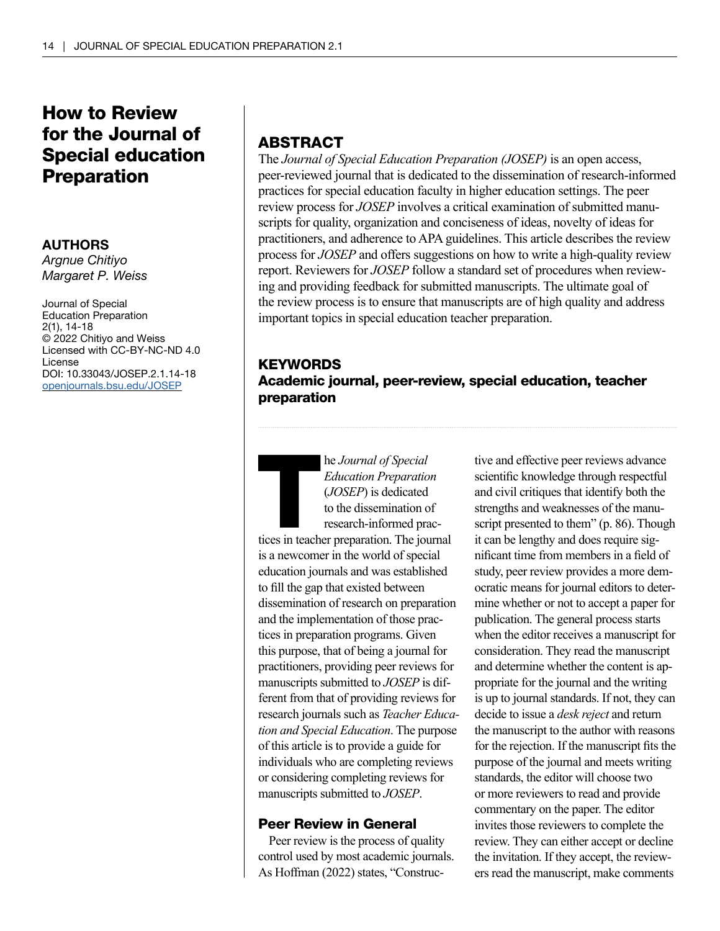# How to Review for the Journal of Special education Preparation

### AUTHORS

*Argnue Chitiyo Margaret P. Weiss*

Journal of Special Education Preparation 2(1), 14-18 © 2022 Chitiyo and Weiss Licensed with CC-BY-NC-ND 4.0 License DOI: 10.33043/JOSEP.2.1.14-18 [openjournals.bsu.edu/JOSEP](http://openjournals.bsu.edu/JOSEP)

# ABSTRACT

The *Journal of Special Education Preparation (JOSEP)* is an open access, peer-reviewed journal that is dedicated to the dissemination of research-informed practices for special education faculty in higher education settings. The peer review process for *JOSEP* involves a critical examination of submitted manuscripts for quality, organization and conciseness of ideas, novelty of ideas for practitioners, and adherence to APA guidelines. This article describes the review process for *JOSEP* and offers suggestions on how to write a high-quality review report. Reviewers for *JOSEP* follow a standard set of procedures when reviewing and providing feedback for submitted manuscripts. The ultimate goal of the review process is to ensure that manuscripts are of high quality and address important topics in special education teacher preparation.

# **KEYWORDS** Academic journal, peer-review, special education, teacher preparation

he *Journal of Special*<br> *Education Preparation*<br>
(*JOSEP*) is dedicated<br>
to the dissemination of<br>
research-informed prac-<br>
tices in teacher preparation. The journal *Education Preparation* (*JOSEP*) is dedicated to the dissemination of research-informed prac-

is a newcomer in the world of special education journals and was established to fill the gap that existed between dissemination of research on preparation and the implementation of those practices in preparation programs. Given this purpose, that of being a journal for practitioners, providing peer reviews for manuscripts submitted to *JOSEP* is different from that of providing reviews for research journals such as *Teacher Education and Special Education*. The purpose of this article is to provide a guide for individuals who are completing reviews or considering completing reviews for manuscripts submitted to *JOSEP*.

## Peer Review in General

Peer review is the process of quality control used by most academic journals. As Hoffman (2022) states, "Constructive and effective peer reviews advance scientific knowledge through respectful and civil critiques that identify both the strengths and weaknesses of the manuscript presented to them" (p. 86). Though it can be lengthy and does require significant time from members in a field of study, peer review provides a more democratic means for journal editors to determine whether or not to accept a paper for publication. The general process starts when the editor receives a manuscript for consideration. They read the manuscript and determine whether the content is appropriate for the journal and the writing is up to journal standards. If not, they can decide to issue a *desk reject* and return the manuscript to the author with reasons for the rejection. If the manuscript fits the purpose of the journal and meets writing standards, the editor will choose two or more reviewers to read and provide commentary on the paper. The editor invites those reviewers to complete the review. They can either accept or decline the invitation. If they accept, the reviewers read the manuscript, make comments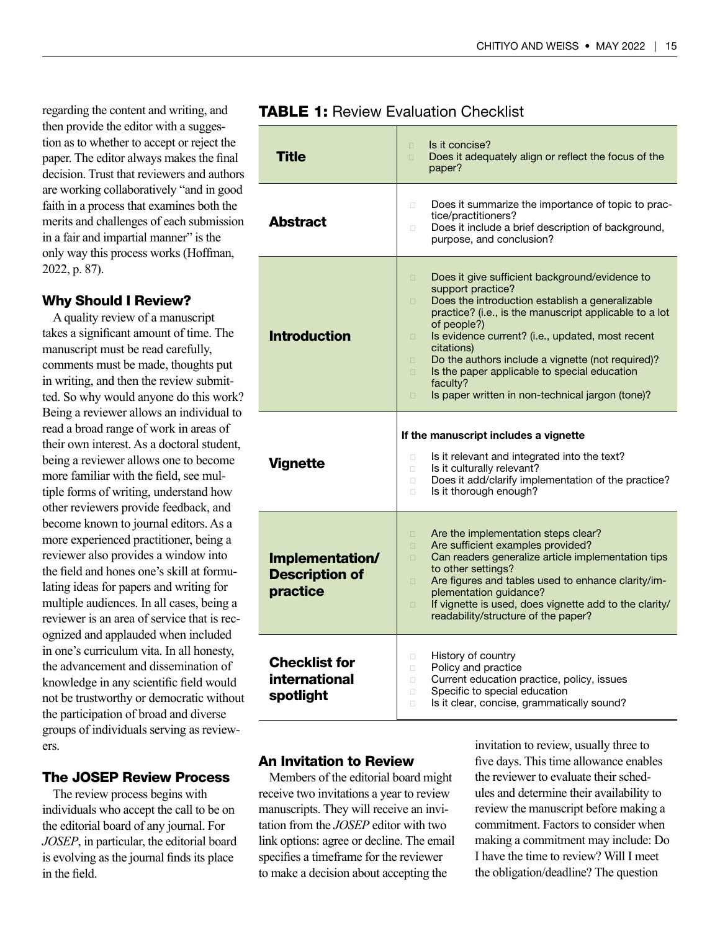regarding the content and writing, and then provide the editor with a suggestion as to whether to accept or reject the paper. The editor always makes the final decision. Trust that reviewers and authors are working collaboratively "and in good faith in a process that examines both the merits and challenges of each submission in a fair and impartial manner" is the only way this process works (Hoffman, 2022, p. 87).

#### Why Should I Review?

A quality review of a manuscript takes a significant amount of time. The manuscript must be read carefully, comments must be made, thoughts put in writing, and then the review submitted. So why would anyone do this work? Being a reviewer allows an individual to read a broad range of work in areas of their own interest. As a doctoral student, being a reviewer allows one to become more familiar with the field, see multiple forms of writing, understand how other reviewers provide feedback, and become known to journal editors. As a more experienced practitioner, being a reviewer also provides a window into the field and hones one's skill at formulating ideas for papers and writing for multiple audiences. In all cases, being a reviewer is an area of service that is recognized and applauded when included in one's curriculum vita. In all honesty, the advancement and dissemination of knowledge in any scientific field would not be trustworthy or democratic without the participation of broad and diverse groups of individuals serving as reviewers.

#### The JOSEP Review Process

The review process begins with individuals who accept the call to be on the editorial board of any journal. For *JOSEP*, in particular, the editorial board is evolving as the journal finds its place in the field.

| <b>Title</b>                             | Is it concise?<br>$\Box$<br>Does it adequately align or reflect the focus of the<br>$\Box$<br>paper?                                                                                                                                                                                                                                                                                                                                                                                             |
|------------------------------------------|--------------------------------------------------------------------------------------------------------------------------------------------------------------------------------------------------------------------------------------------------------------------------------------------------------------------------------------------------------------------------------------------------------------------------------------------------------------------------------------------------|
| <b>Abstract</b>                          | Does it summarize the importance of topic to prac-<br>0<br>tice/practitioners?<br>Does it include a brief description of background,<br>$\Box$<br>purpose, and conclusion?                                                                                                                                                                                                                                                                                                                       |
| <b>Introduction</b>                      | Does it give sufficient background/evidence to<br>$\Box$<br>support practice?<br>Does the introduction establish a generalizable<br>0<br>practice? (i.e., is the manuscript applicable to a lot<br>of people?)<br>Is evidence current? (i.e., updated, most recent<br>$\Box$<br>citations)<br>Do the authors include a vignette (not required)?<br>$\Box$<br>Is the paper applicable to special education<br>$\square$<br>faculty?<br>Is paper written in non-technical jargon (tone)?<br>$\Box$ |
| <b>Vignette</b>                          | If the manuscript includes a vignette<br>Is it relevant and integrated into the text?<br>0<br>Is it culturally relevant?<br>$\Box$<br>Does it add/clarify implementation of the practice?<br>$\Box$<br>Is it thorough enough?<br>$\Box$                                                                                                                                                                                                                                                          |
| Implementation/<br><b>Description of</b> | Are the implementation steps clear?<br>$\Box$<br>Are sufficient examples provided?<br>$\Box$<br>Can readers generalize article implementation tips<br>$\Box$<br>to other settings?                                                                                                                                                                                                                                                                                                               |
| practice                                 | Are figures and tables used to enhance clarity/im-<br>$\Box$<br>plementation guidance?<br>If vignette is used, does vignette add to the clarity/<br>$\Box$<br>readability/structure of the paper?                                                                                                                                                                                                                                                                                                |

### **TABLE 1: Review Evaluation Checklist**

#### An Invitation to Review

Members of the editorial board might receive two invitations a year to review manuscripts. They will receive an invitation from the *JOSEP* editor with two link options: agree or decline. The email specifies a timeframe for the reviewer to make a decision about accepting the

invitation to review, usually three to five days. This time allowance enables the reviewer to evaluate their schedules and determine their availability to review the manuscript before making a commitment. Factors to consider when making a commitment may include: Do I have the time to review? Will I meet the obligation/deadline? The question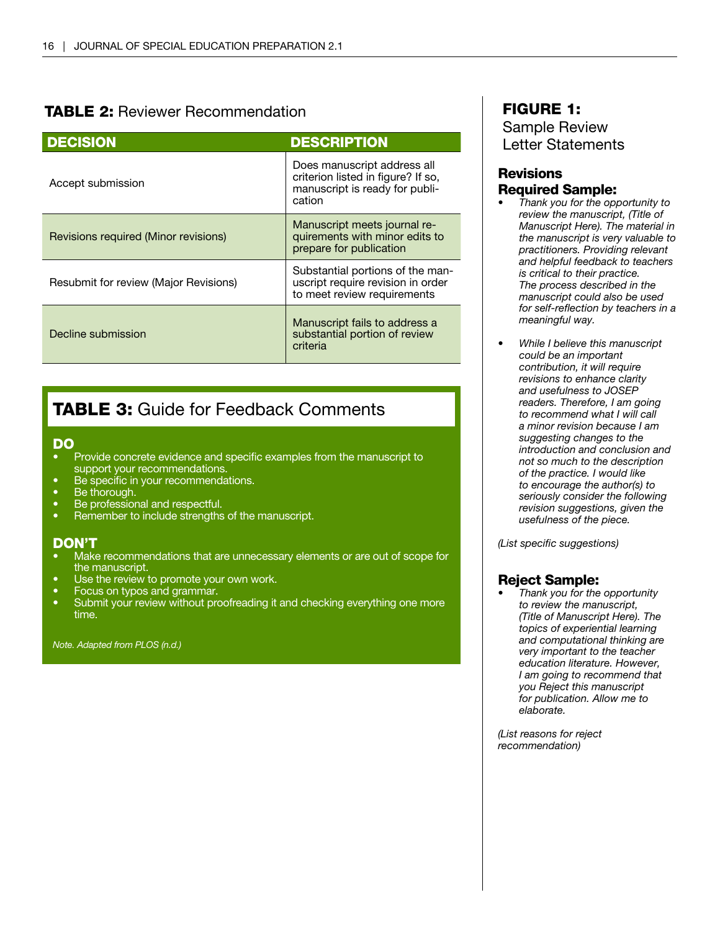# TABLE 2: Reviewer Recommendation

| <b>DECISION</b>                       | <b>DESCRIPTION</b>                                                                                            |
|---------------------------------------|---------------------------------------------------------------------------------------------------------------|
| Accept submission                     | Does manuscript address all<br>criterion listed in figure? If so,<br>manuscript is ready for publi-<br>cation |
| Revisions required (Minor revisions)  | Manuscript meets journal re-<br>quirements with minor edits to<br>prepare for publication                     |
| Resubmit for review (Major Revisions) | Substantial portions of the man-<br>uscript require revision in order<br>to meet review requirements          |
| Decline submission                    | Manuscript fails to address a<br>substantial portion of review<br>criteria                                    |

# **TABLE 3:** Guide for Feedback Comments

#### DO

- Provide concrete evidence and specific examples from the manuscript to support your recommendations.
- Be specific in your recommendations.
- Be thorough.
- Be professional and respectful.
- Remember to include strengths of the manuscript.

#### DON'T

- Make recommendations that are unnecessary elements or are out of scope for the manuscript.
- Use the review to promote your own work.
- Focus on typos and grammar.
- Submit your review without proofreading it and checking everything one more time.

*Note. Adapted from PLOS (n.d.)*

# FIGURE 1: Sample Review Letter Statements

## **Revisions** Required Sample:

- *• Thank you for the opportunity to review the manuscript, (Title of Manuscript Here). The material in the manuscript is very valuable to practitioners. Providing relevant and helpful feedback to teachers is critical to their practice. The process described in the manuscript could also be used for self-reflection by teachers in a meaningful way.*
- *• While I believe this manuscript could be an important contribution, it will require revisions to enhance clarity and usefulness to JOSEP readers. Therefore, I am going to recommend what I will call a minor revision because I am suggesting changes to the introduction and conclusion and not so much to the description of the practice. I would like to encourage the author(s) to seriously consider the following revision suggestions, given the usefulness of the piece.*

*(List specific suggestions)*

### Reject Sample:

*• Thank you for the opportunity to review the manuscript, (Title of Manuscript Here). The topics of experiential learning and computational thinking are very important to the teacher education literature. However, I am going to recommend that you Reject this manuscript for publication. Allow me to elaborate.*

*(List reasons for reject recommendation)*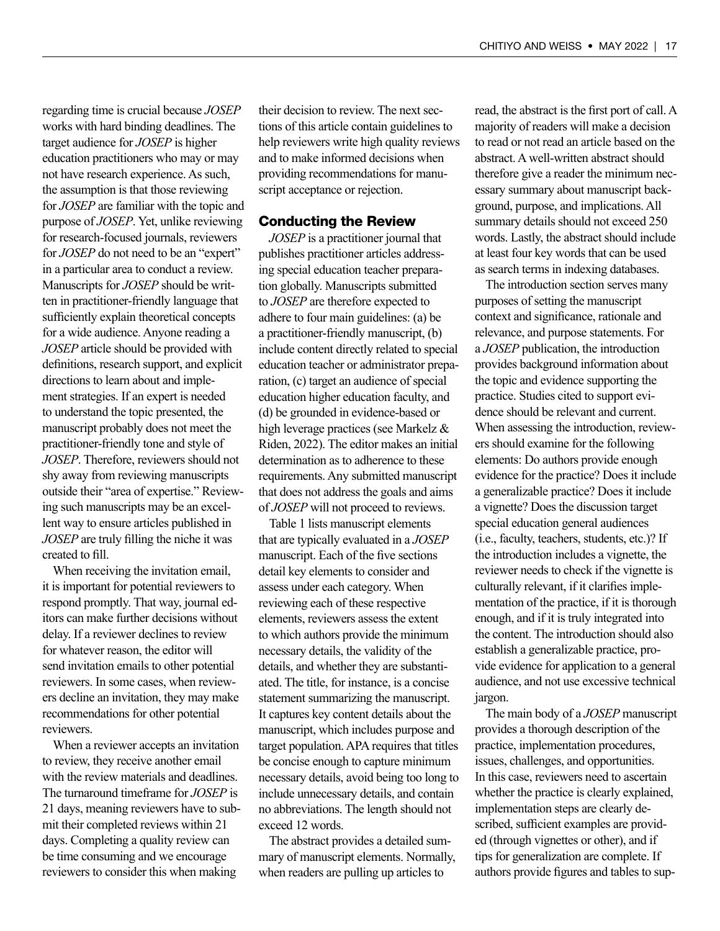regarding time is crucial because *JOSEP* works with hard binding deadlines. The target audience for *JOSEP* is higher education practitioners who may or may not have research experience. As such, the assumption is that those reviewing for *JOSEP* are familiar with the topic and purpose of *JOSEP*. Yet, unlike reviewing for research-focused journals, reviewers for *JOSEP* do not need to be an "expert" in a particular area to conduct a review. Manuscripts for *JOSEP* should be written in practitioner-friendly language that sufficiently explain theoretical concepts for a wide audience. Anyone reading a *JOSEP* article should be provided with definitions, research support, and explicit directions to learn about and implement strategies. If an expert is needed to understand the topic presented, the manuscript probably does not meet the practitioner-friendly tone and style of *JOSEP*. Therefore, reviewers should not shy away from reviewing manuscripts outside their "area of expertise." Reviewing such manuscripts may be an excellent way to ensure articles published in *JOSEP* are truly filling the niche it was created to fill.

When receiving the invitation email, it is important for potential reviewers to respond promptly. That way, journal editors can make further decisions without delay. If a reviewer declines to review for whatever reason, the editor will send invitation emails to other potential reviewers. In some cases, when reviewers decline an invitation, they may make recommendations for other potential reviewers.

When a reviewer accepts an invitation to review, they receive another email with the review materials and deadlines. The turnaround timeframe for *JOSEP* is 21 days, meaning reviewers have to submit their completed reviews within 21 days. Completing a quality review can be time consuming and we encourage reviewers to consider this when making

their decision to review. The next sections of this article contain guidelines to help reviewers write high quality reviews and to make informed decisions when providing recommendations for manuscript acceptance or rejection.

#### Conducting the Review

*JOSEP* is a practitioner journal that publishes practitioner articles addressing special education teacher preparation globally. Manuscripts submitted to *JOSEP* are therefore expected to adhere to four main guidelines: (a) be a practitioner-friendly manuscript, (b) include content directly related to special education teacher or administrator preparation, (c) target an audience of special education higher education faculty, and (d) be grounded in evidence-based or high leverage practices (see Markelz & Riden, 2022). The editor makes an initial determination as to adherence to these requirements. Any submitted manuscript that does not address the goals and aims of *JOSEP* will not proceed to reviews.

Table 1 lists manuscript elements that are typically evaluated in a *JOSEP* manuscript. Each of the five sections detail key elements to consider and assess under each category. When reviewing each of these respective elements, reviewers assess the extent to which authors provide the minimum necessary details, the validity of the details, and whether they are substantiated. The title, for instance, is a concise statement summarizing the manuscript. It captures key content details about the manuscript, which includes purpose and target population. APA requires that titles be concise enough to capture minimum necessary details, avoid being too long to include unnecessary details, and contain no abbreviations. The length should not exceed 12 words.

The abstract provides a detailed summary of manuscript elements. Normally, when readers are pulling up articles to

read, the abstract is the first port of call. A majority of readers will make a decision to read or not read an article based on the abstract. A well-written abstract should therefore give a reader the minimum necessary summary about manuscript background, purpose, and implications. All summary details should not exceed 250 words. Lastly, the abstract should include at least four key words that can be used as search terms in indexing databases.

The introduction section serves many purposes of setting the manuscript context and significance, rationale and relevance, and purpose statements. For a *JOSEP* publication, the introduction provides background information about the topic and evidence supporting the practice. Studies cited to support evidence should be relevant and current. When assessing the introduction, reviewers should examine for the following elements: Do authors provide enough evidence for the practice? Does it include a generalizable practice? Does it include a vignette? Does the discussion target special education general audiences (i.e., faculty, teachers, students, etc.)? If the introduction includes a vignette, the reviewer needs to check if the vignette is culturally relevant, if it clarifies implementation of the practice, if it is thorough enough, and if it is truly integrated into the content. The introduction should also establish a generalizable practice, provide evidence for application to a general audience, and not use excessive technical jargon.

The main body of a *JOSEP* manuscript provides a thorough description of the practice, implementation procedures, issues, challenges, and opportunities. In this case, reviewers need to ascertain whether the practice is clearly explained, implementation steps are clearly described, sufficient examples are provided (through vignettes or other), and if tips for generalization are complete. If authors provide figures and tables to sup-